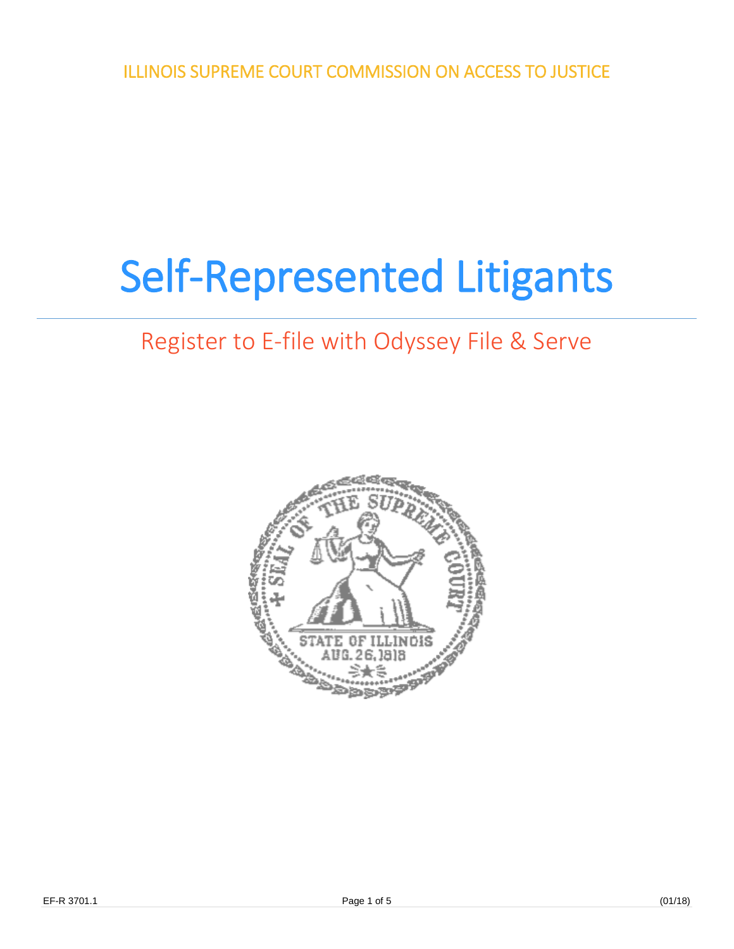ILLINOIS SUPREME COURT COMMISSION ON ACCESS TO JUSTICE

## Self-Represented Litigants

## Register to E-file with Odyssey File & Serve

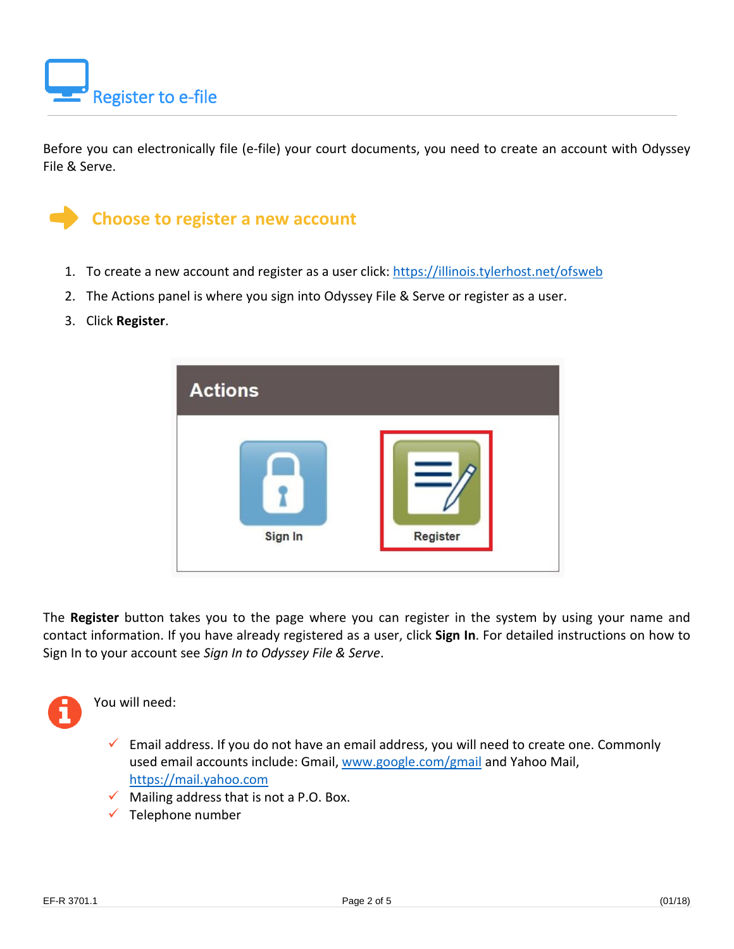

Before you can electronically file (e-file) your court documents, you need to create an account with Odyssey File & Serve.



- 1. To create a new account and register as a user click:<https://illinois.tylerhost.net/ofsweb>
- 2. The Actions panel is where you sign into Odyssey File & Serve or register as a user.
- 3. Click **Register**.



The **Register** button takes you to the page where you can register in the system by using your name and contact information. If you have already registered as a user, click **Sign In**. For detailed instructions on how to Sign In to your account see *Sign In to Odyssey File & Serve*.



You will need:

 $\checkmark$  Email address. If you do not have an email address, you will need to create one. Commonly used email accounts include: Gmail, [www.google.com/gmail](http://www.google.com/gmail) and Yahoo Mail, [https://mail.yahoo.com](https://mail.yahoo.com/)

- $\checkmark$  Mailing address that is not a P.O. Box.
- $\checkmark$  Telephone number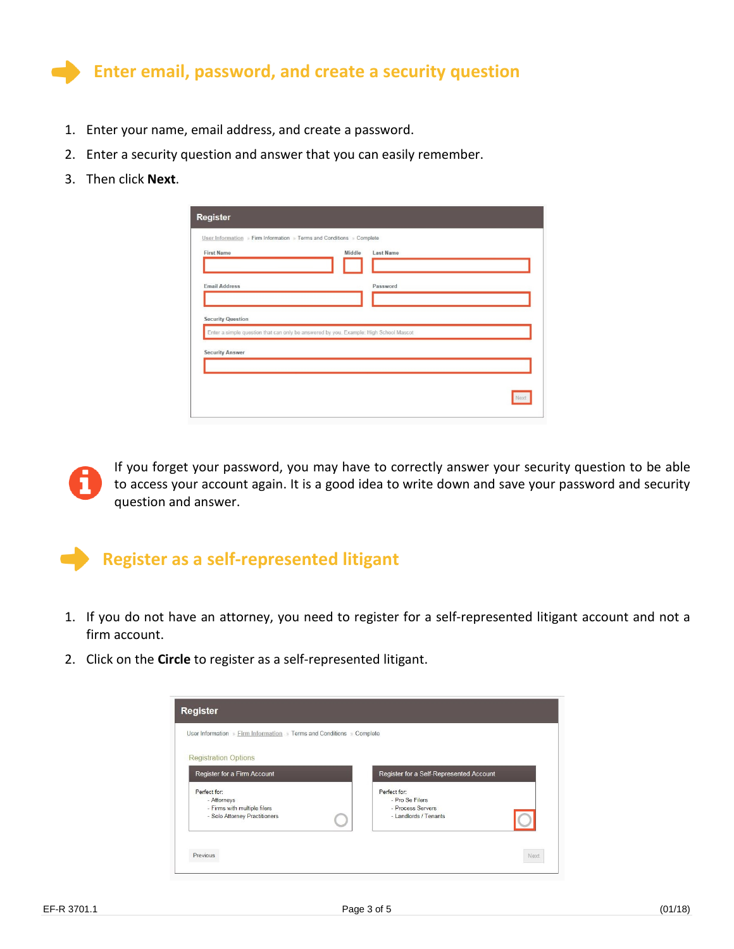

- 1. Enter your name, email address, and create a password.
- 2. Enter a security question and answer that you can easily remember.
- 3. Then click **Next**.

| <b>First Name</b>        | Middle                                                                                | <b>Last Name</b> |  |
|--------------------------|---------------------------------------------------------------------------------------|------------------|--|
| <b>Email Address</b>     |                                                                                       | Password         |  |
| <b>Security Question</b> |                                                                                       |                  |  |
|                          | Enter a simple question that can only be answered by you. Example: High School Mascot |                  |  |
|                          |                                                                                       |                  |  |
| <b>Security Answer</b>   |                                                                                       |                  |  |



If you forget your password, you may have to correctly answer your security question to be able to access your account again. It is a good idea to write down and save your password and security question and answer.



- 1. If you do not have an attorney, you need to register for a self-represented litigant account and not a firm account.
- 2. Click on the **Circle** to register as a self-represented litigant.

| User Information » Firm Information » Terms and Conditions » Complete |                                         |
|-----------------------------------------------------------------------|-----------------------------------------|
| <b>Registration Options</b>                                           |                                         |
| Register for a Firm Account                                           | Register for a Self-Represented Account |
| Perfect for:<br>- Attorneys                                           | Perfect for:<br>- Pro Se Filers         |
| - Firms with multiple filers                                          | - Process Servers                       |
| - Solo Attorney Practitioners                                         | - Landlords / Tenants                   |
|                                                                       |                                         |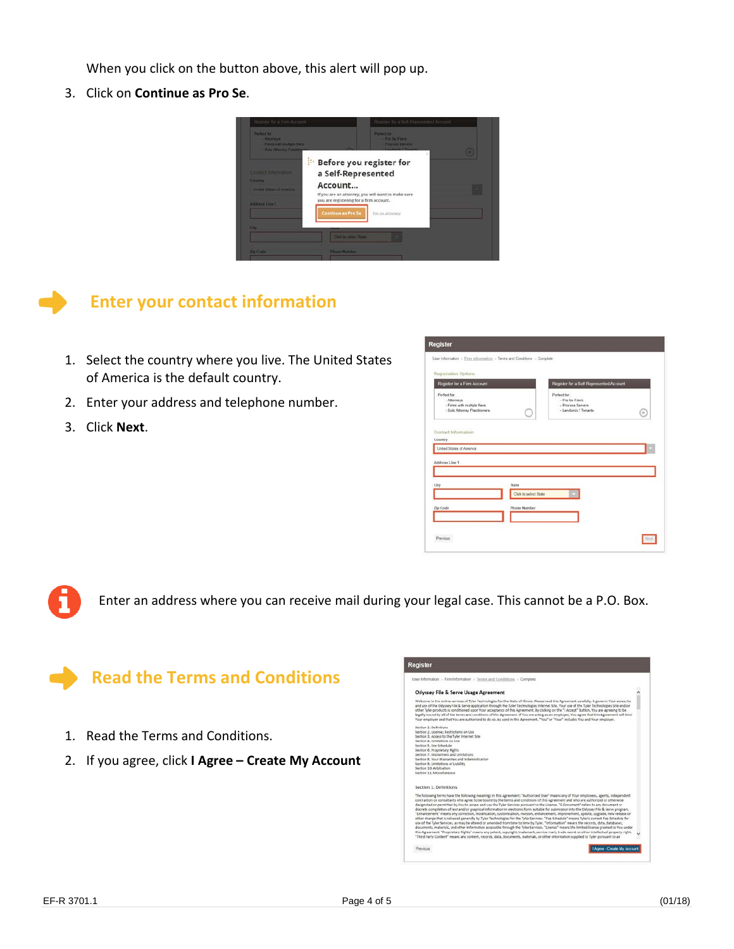When you click on the button above, this alert will pop up.

3. Click on **Continue as Pro Se**.





## **Enter your contact information**

- 1. Select the country where you live. The United States of America is the default country.
- 2. Enter your address and telephone number.
- 3. Click **Next**.

| Registration Options                                                                          |                       |                                                                              |   |
|-----------------------------------------------------------------------------------------------|-----------------------|------------------------------------------------------------------------------|---|
| Register for a Firm Account                                                                   |                       | Register for a Solf Represented Account                                      |   |
| Perfect for:<br>- Attorneys.<br>- Firms with multiple fiers.<br>- Solo Attorney Practitioners |                       | Parleet for<br>- Pro Se Filers<br>- Process Servers<br>- Landlerds / Tenants | G |
| Contact Information                                                                           |                       |                                                                              |   |
| Country                                                                                       |                       |                                                                              |   |
| <b>Linded States of America</b>                                                               |                       |                                                                              |   |
|                                                                                               |                       |                                                                              |   |
| Address Line 1                                                                                |                       |                                                                              |   |
|                                                                                               |                       |                                                                              |   |
| City                                                                                          | State                 |                                                                              |   |
|                                                                                               | Click to select State |                                                                              |   |
|                                                                                               |                       |                                                                              |   |
| Zip Code                                                                                      | Phone Number          |                                                                              |   |

Enter an address where you can receive mail during your legal case. This cannot be a P.O. Box.



- 1. Read the Terms and Conditions.
- 2. If you agree, click **I Agree – Create My Account**

| <b>Register</b>                                                                                                                                      |                                                                                                                                                                                                                                                                                                                                                                                                                                                                                                                                                                                                                                                                                                                                                                                                                                                                                                                                                                                                                                                                                                                                                                                                                                                                                                                                                                                                                                          |  |
|------------------------------------------------------------------------------------------------------------------------------------------------------|------------------------------------------------------------------------------------------------------------------------------------------------------------------------------------------------------------------------------------------------------------------------------------------------------------------------------------------------------------------------------------------------------------------------------------------------------------------------------------------------------------------------------------------------------------------------------------------------------------------------------------------------------------------------------------------------------------------------------------------------------------------------------------------------------------------------------------------------------------------------------------------------------------------------------------------------------------------------------------------------------------------------------------------------------------------------------------------------------------------------------------------------------------------------------------------------------------------------------------------------------------------------------------------------------------------------------------------------------------------------------------------------------------------------------------------|--|
|                                                                                                                                                      | User Information > Firm Information > Tennis and Conditions > Complete                                                                                                                                                                                                                                                                                                                                                                                                                                                                                                                                                                                                                                                                                                                                                                                                                                                                                                                                                                                                                                                                                                                                                                                                                                                                                                                                                                   |  |
|                                                                                                                                                      | Odyssey File & Serve Usage Agreement                                                                                                                                                                                                                                                                                                                                                                                                                                                                                                                                                                                                                                                                                                                                                                                                                                                                                                                                                                                                                                                                                                                                                                                                                                                                                                                                                                                                     |  |
|                                                                                                                                                      | Welcome to the online services of Tyler Technologies for the State of Illinois. Please read this Agreement carefully, it governs Your access to<br>and use of the Odyssey File & Serve application through the Tyler Technologies Internet Site. Your use of the Tyler Technologies Site and/or<br>other Tyler products is conditioned upon Your acceptance of this Agreement. By clicking on the "I Accept" button, You are agreeing to be<br>legally hound by all of the terms and conditions of this Agreement. If You are acting as an employee, You agree that this Agreement will bind<br>Your employer and that You are authorized to do so. As used in this Agreement, "You" or "Your" includes You and Your employer.                                                                                                                                                                                                                                                                                                                                                                                                                                                                                                                                                                                                                                                                                                           |  |
| Section 3. Definitions<br>Section 2, License; Restrictions on Use<br>Section 3. Access to the Tyler Internet Site<br>Saction 4, Limitations on Use   |                                                                                                                                                                                                                                                                                                                                                                                                                                                                                                                                                                                                                                                                                                                                                                                                                                                                                                                                                                                                                                                                                                                                                                                                                                                                                                                                                                                                                                          |  |
| Section S. Fee Schedule<br>Section 6. Proprietary Rights<br>Section 7. Disclaimers and Limitations<br>Section 8. Your Warranties and Indemnification |                                                                                                                                                                                                                                                                                                                                                                                                                                                                                                                                                                                                                                                                                                                                                                                                                                                                                                                                                                                                                                                                                                                                                                                                                                                                                                                                                                                                                                          |  |
| Section 9. Limitations of Liability<br>Section 10, Arbitration<br>Section 11. Miscellaneous.                                                         |                                                                                                                                                                                                                                                                                                                                                                                                                                                                                                                                                                                                                                                                                                                                                                                                                                                                                                                                                                                                                                                                                                                                                                                                                                                                                                                                                                                                                                          |  |
| Section 1. Definitions                                                                                                                               |                                                                                                                                                                                                                                                                                                                                                                                                                                                                                                                                                                                                                                                                                                                                                                                                                                                                                                                                                                                                                                                                                                                                                                                                                                                                                                                                                                                                                                          |  |
|                                                                                                                                                      | The following terms have the following meanings in this Agreement: "Authorized User" means any of Your employees, agents, independent<br>contractors or consultants who agree to be bound by the terms and conditions of this Agreement and who are authorized or otherwise<br>designated or permitted by You to access and use the Tyler Services pursuant to the License. "E-Document" refers to any document or<br>discrete compilation of text and/or graphical information in electronic form suitable for submission into the Odyssey File & Serve program.<br>"Enhancement" means any correction, modification, customization, revision, enhancement, improvement, update, upgrade, new release or<br>other change that is released generally by Tyler Technologies for the Tyler Services. "Fee Schedule" means Tyler's current Fee Schedule for<br>gie of the Tyler Services, as may be altered or amended from time to time by Tyler. "Information" means the records, data, databases,<br>documents, materials, and other information accessible through the Tyler Services. "License" means the limited license granted to You under<br>this Agreement, "Proprietary Rights" means any patent, copyright, trademark, service mark, trade secret or other intellectual property right.<br>"Third Party Content" means any content, records, data, documents, materials, or other information supplied to Tyler pursuant to an |  |
| Previous                                                                                                                                             | Agree - Create My Account                                                                                                                                                                                                                                                                                                                                                                                                                                                                                                                                                                                                                                                                                                                                                                                                                                                                                                                                                                                                                                                                                                                                                                                                                                                                                                                                                                                                                |  |